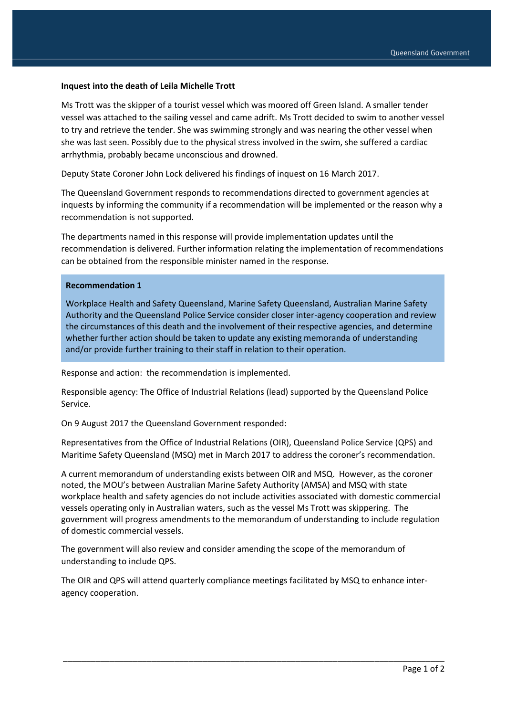## **Inquest into the death of Leila Michelle Trott**

Ms Trott was the skipper of a tourist vessel which was moored off Green Island. A smaller tender vessel was attached to the sailing vessel and came adrift. Ms Trott decided to swim to another vessel to try and retrieve the tender. She was swimming strongly and was nearing the other vessel when she was last seen. Possibly due to the physical stress involved in the swim, she suffered a cardiac arrhythmia, probably became unconscious and drowned.

Deputy State Coroner John Lock delivered his findings of inquest on 16 March 2017.

The Queensland Government responds to recommendations directed to government agencies at inquests by informing the community if a recommendation will be implemented or the reason why a recommendation is not supported.

The departments named in this response will provide implementation updates until the recommendation is delivered. Further information relating the implementation of recommendations can be obtained from the responsible minister named in the response.

## **Recommendation 1**

Workplace Health and Safety Queensland, Marine Safety Queensland, Australian Marine Safety Authority and the Queensland Police Service consider closer inter-agency cooperation and review the circumstances of this death and the involvement of their respective agencies, and determine whether further action should be taken to update any existing memoranda of understanding and/or provide further training to their staff in relation to their operation.

Response and action: the recommendation is implemented.

Responsible agency: The Office of Industrial Relations (lead) supported by the Queensland Police Service.

On 9 August 2017 the Queensland Government responded:

Representatives from the Office of Industrial Relations (OIR), Queensland Police Service (QPS) and Maritime Safety Queensland (MSQ) met in March 2017 to address the coroner's recommendation.

A current memorandum of understanding exists between OIR and MSQ. However, as the coroner noted, the MOU's between Australian Marine Safety Authority (AMSA) and MSQ with state workplace health and safety agencies do not include activities associated with domestic commercial vessels operating only in Australian waters, such as the vessel Ms Trott was skippering. The government will progress amendments to the memorandum of understanding to include regulation of domestic commercial vessels.

The government will also review and consider amending the scope of the memorandum of understanding to include QPS.

The OIR and QPS will attend quarterly compliance meetings facilitated by MSQ to enhance interagency cooperation.

\_\_\_\_\_\_\_\_\_\_\_\_\_\_\_\_\_\_\_\_\_\_\_\_\_\_\_\_\_\_\_\_\_\_\_\_\_\_\_\_\_\_\_\_\_\_\_\_\_\_\_\_\_\_\_\_\_\_\_\_\_\_\_\_\_\_\_\_\_\_\_\_\_\_\_\_\_\_\_\_\_\_